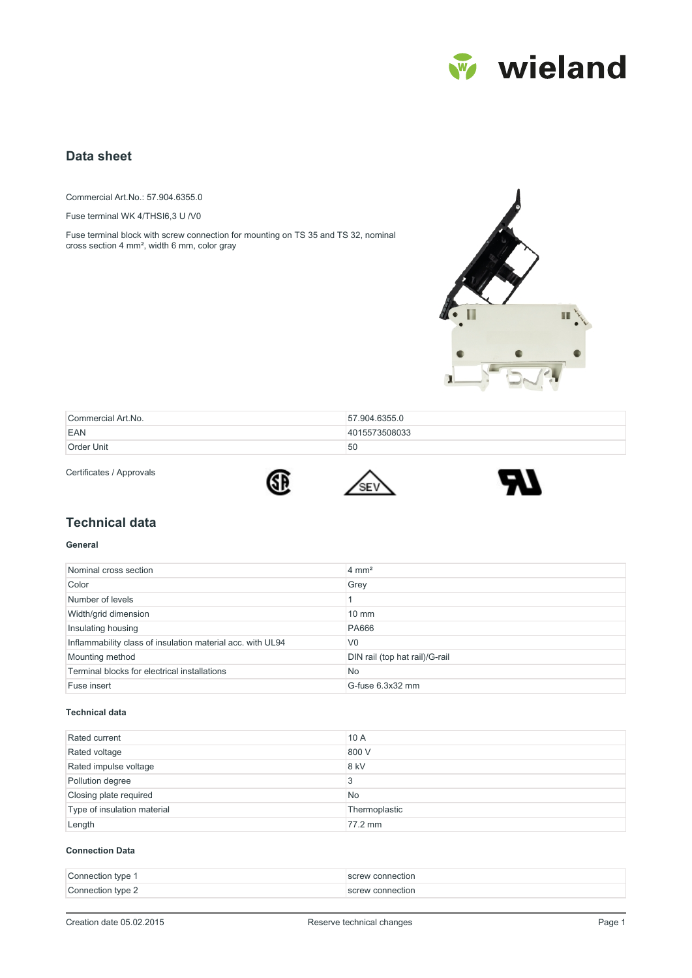

# **Data sheet**

Commercial Art.No.: 57.904.6355.0

Fuse terminal WK 4/THSI6,3 U /V0

Fuse terminal block with screw connection for mounting on TS 35 and TS 32, nominal cross section 4 mm², width 6 mm, color gray



| Commercial Art.No. | 57.904.6355.0 |
|--------------------|---------------|
| EAN                | 4015573508033 |
| Order Unit         | 50            |

Certificates / Approvals







## **Technical data**

#### **General**

| Nominal cross section                                      | $4 \text{ mm}^2$               |
|------------------------------------------------------------|--------------------------------|
| Color                                                      | Grey                           |
| Number of levels                                           |                                |
| Width/grid dimension                                       | $10 \text{ mm}$                |
| Insulating housing                                         | <b>PA666</b>                   |
| Inflammability class of insulation material acc. with UL94 | V <sub>0</sub>                 |
| Mounting method                                            | DIN rail (top hat rail)/G-rail |
| Terminal blocks for electrical installations               | <b>No</b>                      |
| Fuse insert                                                | G-fuse 6.3x32 mm               |

#### **Technical data**

| Rated current               | 10A           |
|-----------------------------|---------------|
| Rated voltage               | 800 V         |
| Rated impulse voltage       | 8 kV          |
| Pollution degree            | 3             |
| Closing plate required      | <b>No</b>     |
| Type of insulation material | Thermoplastic |
| Length                      | 77.2 mm       |

#### **Connection Data**

| Connection type 1 | screw connection |
|-------------------|------------------|
| Connection type 2 | screw connection |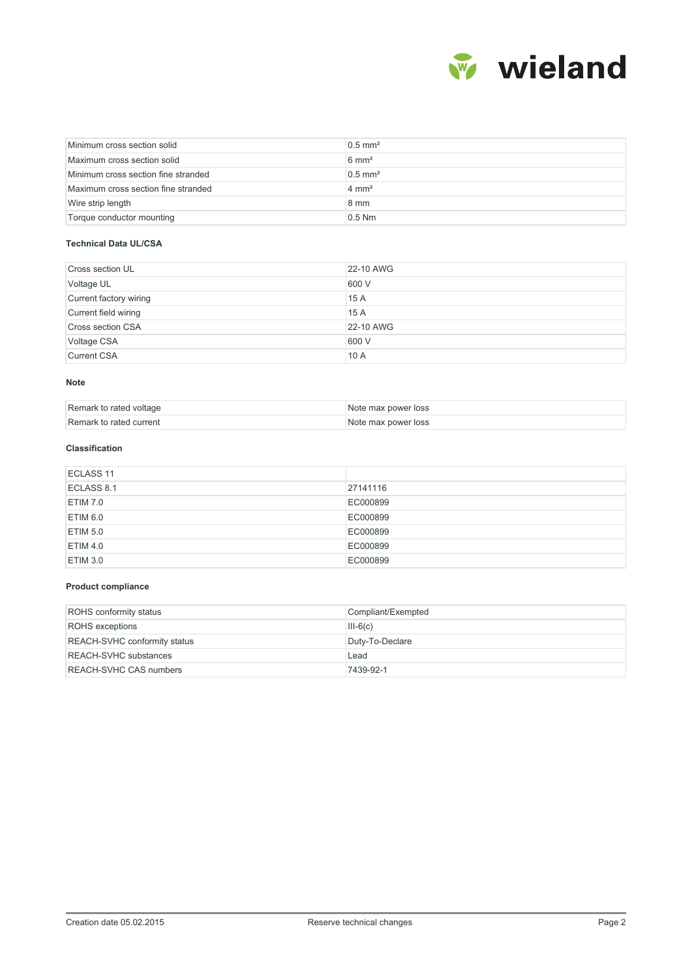

| Minimum cross section solid         | $0.5$ mm <sup>2</sup> |
|-------------------------------------|-----------------------|
| Maximum cross section solid         | $6 \text{ mm}^2$      |
| Minimum cross section fine stranded | $0.5$ mm <sup>2</sup> |
| Maximum cross section fine stranded | $4 \text{ mm}^2$      |
| Wire strip length                   | $8 \text{ mm}$        |
| Torque conductor mounting           | $0.5$ Nm              |

#### **Technical Data UL/CSA**

| <b>Cross section UL</b>  | 22-10 AWG |
|--------------------------|-----------|
| Voltage UL               | 600 V     |
| Current factory wiring   | 15 A      |
| Current field wiring     | 15 A      |
| <b>Cross section CSA</b> | 22-10 AWG |
| Voltage CSA              | 600 V     |
| <b>Current CSA</b>       | 10A       |

#### **Note**

| Remark to rated voltage | Note max power loss |
|-------------------------|---------------------|
| Remark to rated current | Note max power loss |

### **Classification**

| ECLASS <sub>11</sub> |          |
|----------------------|----------|
| ECLASS 8.1           | 27141116 |
| ETIM 7.0             | EC000899 |
| ETIM 6.0             | EC000899 |
| ETIM 5.0             | EC000899 |
| ETIM 4.0             | EC000899 |
| ETIM 3.0             | EC000899 |

#### **Product compliance**

| <b>ROHS</b> conformity status       | Compliant/Exempted |  |  |
|-------------------------------------|--------------------|--|--|
| <b>ROHS</b> exceptions              | $III-6(c)$         |  |  |
| <b>REACH-SVHC conformity status</b> | Duty-To-Declare    |  |  |
| <b>REACH-SVHC</b> substances        | Lead               |  |  |
| <b>REACH-SVHC CAS numbers</b>       | 7439-92-1          |  |  |